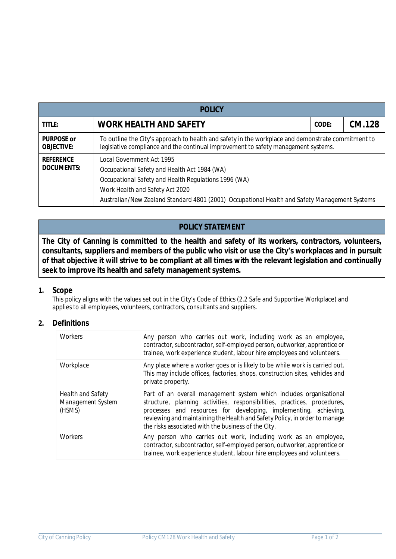| <b>POLICY</b>                          |                                                                                                                                                                                                                                                                       |  |  |  |  |  |  |  |
|----------------------------------------|-----------------------------------------------------------------------------------------------------------------------------------------------------------------------------------------------------------------------------------------------------------------------|--|--|--|--|--|--|--|
| <b>TITLE:</b>                          | <b>WORK HEALTH AND SAFETY</b><br>CODE:                                                                                                                                                                                                                                |  |  |  |  |  |  |  |
| <b>PURPOSE or</b><br><b>OBJECTIVE:</b> | To outline the City's approach to health and safety in the workplace and demonstrate commitment to<br>legislative compliance and the continual improvement to safety management systems.                                                                              |  |  |  |  |  |  |  |
| <b>REFERENCE</b><br><b>DOCUMENTS:</b>  | Local Government Act 1995<br>Occupational Safety and Health Act 1984 (WA)<br>Occupational Safety and Health Regulations 1996 (WA)<br>Work Health and Safety Act 2020<br>Australian/New Zealand Standard 4801 (2001) Occupational Health and Safety Management Systems |  |  |  |  |  |  |  |

# **POLICY STATEMENT**

**The City of Canning is committed to the health and safety of its workers, contractors, volunteers, consultants, suppliers and members of the public who visit or use the City's workplaces and in pursuit of that objective it will strive to be compliant at all times with the relevant legislation and continually seek to improve its health and safety management systems.**

### **1. Scope**

This policy aligns with the values set out in the City's Code of Ethics (2.2 Safe and Supportive Workplace) and applies to all employees, volunteers, contractors, consultants and suppliers.

### **2. Definitions**

| Workers                                                 | Any person who carries out work, including work as an employee,<br>contractor, subcontractor, self-employed person, outworker, apprentice or<br>trainee, work experience student, labour hire employees and volunteers.                                                                                                                                 |
|---------------------------------------------------------|---------------------------------------------------------------------------------------------------------------------------------------------------------------------------------------------------------------------------------------------------------------------------------------------------------------------------------------------------------|
| Workplace                                               | Any place where a worker goes or is likely to be while work is carried out.<br>This may include offices, factories, shops, construction sites, vehicles and<br>private property.                                                                                                                                                                        |
| <b>Health and Safety</b><br>Management System<br>(HSMS) | Part of an overall management system which includes organisational<br>structure, planning activities, responsibilities, practices, procedures,<br>processes and resources for developing, implementing, achieving,<br>reviewing and maintaining the Health and Safety Policy, in order to manage<br>the risks associated with the business of the City. |
| Workers                                                 | Any person who carries out work, including work as an employee,<br>contractor, subcontractor, self-employed person, outworker, apprentice or<br>trainee, work experience student, labour hire employees and volunteers.                                                                                                                                 |